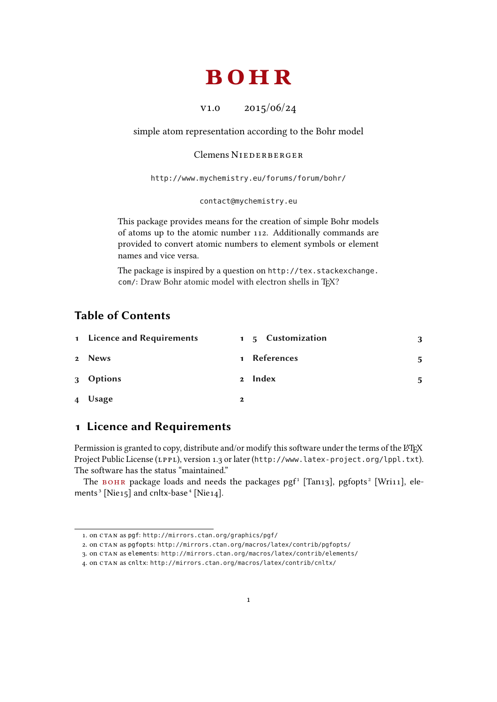# bohr

v1.0 2015/06/24

<span id="page-0-2"></span>simple atom representation according to the Bohr model

#### Clemens NIEDERBERGER

<http://www.mychemistry.eu/forums/forum/bohr/>

[contact@mychemistry.eu](mailto:contact@mychemistry.eu)

This package provides means for the creation of simple Bohr models of atoms up to the atomic number 112. Additionally commands are provided to convert atomic numbers to element symbols or element names and vice versa.

The package is inspired by a question on [http://tex.stackexchange.](http://tex.stackexchange.com/) [com/](http://tex.stackexchange.com/): Draw Bohr atomic model with electron shells in TFX?

## Table of Contents

|                | 1 Licence and Requirements |              | 1 5 Customization | 3  |
|----------------|----------------------------|--------------|-------------------|----|
|                | 2 News                     |              | 1 References      | 5. |
|                | 3 Options                  | $2^{\circ}$  | Index             | 5  |
| $\overline{4}$ | Usage                      | $\mathbf{2}$ |                   |    |

### <span id="page-0-0"></span>1 Licence and Requirements

Permission is granted to copy, distribute and/or modify this software under the terms of the LATEX Project Public License (LPPL), version 1.3 or later (<http://www.latex-project.org/lppl.txt>). The software has the status "maintained."

The BOHR package loads and needs the packages pg[f](#page-0-1)<sup>1</sup> [Tan13], pgfopts<sup>2</sup> [Wri11], elements<sup>3</sup> [Nie15] and cnltx-base<sup>4</sup> [Nie14].

<span id="page-0-1"></span><sup>1.</sup> on CTAN as pgf: <http://mirrors.ctan.org/graphics/pgf/>

<sup>2.</sup> on CTAN as pgfopts: <http://mirrors.ctan.org/macros/latex/contrib/pgfopts/>

<sup>3.</sup> on CTAN as elements: <http://mirrors.ctan.org/macros/latex/contrib/elements/>

<sup>4.</sup> on CTAN as cnltx: <http://mirrors.ctan.org/macros/latex/contrib/cnltx/>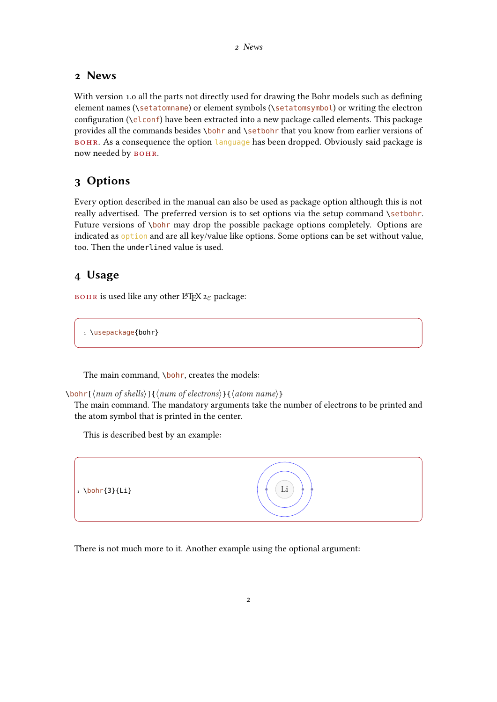#### <span id="page-1-3"></span><span id="page-1-0"></span>2 News

With version 1.0 all the parts not directly used for drawing the Bohr models such as defining element names (\setatomname) or element symbols (\setatomsymbol) or writing the electron configuration ( $\left(\begin{array}{c} \text{cl}\text{conf} \end{array}\right)$  have been extracted into a new package called elements. This package provides all the commands besides \bohr and \setbohr that you know from earlier versions of BOHR. As a consequence the option language has been dropped. Obviously said package is now needed by BOHR.

## <span id="page-1-1"></span>3 Options

Every option described in the manual can also be used as package option although this is not really advertised. The preferred version is to set options via the setup command \setbohr. Future versions of \bohr may drop the possible package options completely. Options are indicated as option and are all key/value like options. Some options can be set without value, too. Then the underlined value is used.

## <span id="page-1-2"></span>4 Usage

вон is used like any other LAT<sub>E</sub>X  $2\varepsilon$  package:

1 \usepackage{bohr}

The main command, \bohr, creates the models:

\bohr[ $\langle num \ of \ shells \rangle$ ]{ $\langle num \ of \ electrons \rangle$ }{ $\langle atom \ name \rangle$ }

The main command. The mandatory arguments take the number of electrons to be printed and the atom symbol that is printed in the center.

This is described best by an example:



There is not much more to it. Another example using the optional argument: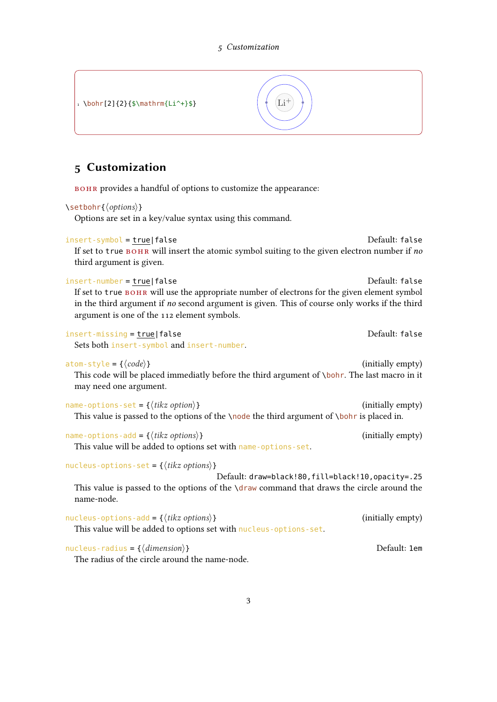<span id="page-2-1"></span><span id="page-2-0"></span>1 \bohr[2]{2}{\$\mathrm{Li^+}\$}  $\left| \begin{array}{c} \left( \text{Li}^+ \right) \end{array} \right|$ 5 Customization BOHR provides a handful of options to customize the appearance: \setbohr{ $\langle$  options}} Options are set in a key/value syntax using this command. insert-symbol = true|false default: false If set to true  $B$ OHR will insert the atomic symbol suiting to the given electron number if no third argument is given. insert-number <sup>=</sup> true|false Default: false If set to true BOHR will use the appropriate number of electrons for the given element symbol in the third argument if no second argument is given. This of course only works if the third argument is one of the 112 element symbols. insert-missing = true|false default: false Sets both insert-symbol and insert-number.  $atom\text{-style} = \{\langle code \rangle\}$  (initially empty) This code will be placed immediatly before the third argument of \bohr. The last macro in it may need one argument.  $name-options-set = {\langle tikz~option \rangle}$  (initially empty) This value is passed to the options of the  $\setminus \text{node}$  the third argument of  $\setminus \text{both}r$  is placed in. name-options-add =  $\{\langle tikz \space options \rangle\}$  (initially empty) This value will be added to options set with name-options-set. nucleus-options-set = { $\langle$ *tikz options*}} Default: draw=black!80,fill=black!10,opacity=.25 This value is passed to the options of the  $\dagger$  draw command that draws the circle around the name-node.  $nucleus-options-add = \{\langle tikz \text{ options}\rangle\}$  (initially empty) This value will be added to options set with nucleus-options-set.  $nucleus-radius = {\langle dimension \rangle}$  dimension) different contracts the Default: 1em The radius of the circle around the name-node.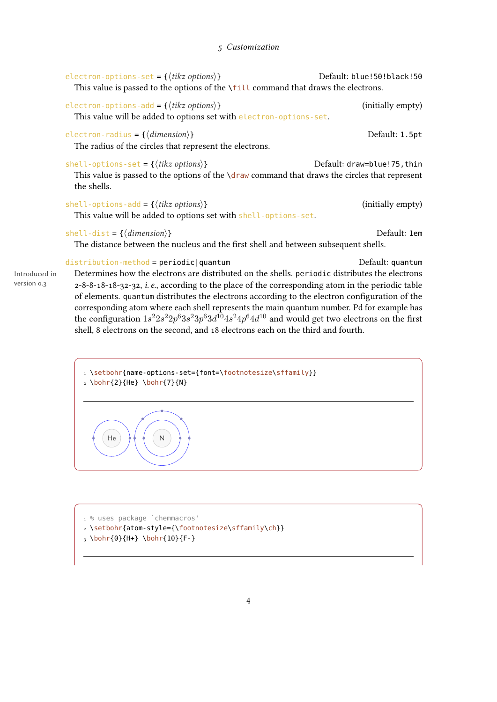#### 5 Customization

<span id="page-3-0"></span>

|                              | electron-options-set = { $\langle$ <i>tikz options</i> }}<br>This value is passed to the options of the $\tilde{i}$ th command that draws the electrons.                                                                                                                                                                                                                                                                                                                                                                                                            | Default: blue!50!black!50   |
|------------------------------|---------------------------------------------------------------------------------------------------------------------------------------------------------------------------------------------------------------------------------------------------------------------------------------------------------------------------------------------------------------------------------------------------------------------------------------------------------------------------------------------------------------------------------------------------------------------|-----------------------------|
|                              | electron-options-add = { $\langle$ <i>tikz options</i> }}<br>This value will be added to options set with electron-options-set.                                                                                                                                                                                                                                                                                                                                                                                                                                     | (initially empty)           |
|                              | electron-radius = $\{\langle dimension \rangle\}$<br>The radius of the circles that represent the electrons.                                                                                                                                                                                                                                                                                                                                                                                                                                                        | Default: 1.5pt              |
|                              | shell-options-set = $\{\langle tikz \text{ options}\rangle\}$<br>This value is passed to the options of the $\lambda$ draw command that draws the circles that represent<br>the shells.                                                                                                                                                                                                                                                                                                                                                                             | Default: draw=blue!75, thin |
|                              | shell-options-add = { $\langle$ <i>tikz options</i> }}<br>This value will be added to options set with shell-options-set.                                                                                                                                                                                                                                                                                                                                                                                                                                           | (initially empty)           |
|                              | shell-dist = $\{\langle dimension \rangle\}$<br>The distance between the nucleus and the first shell and between subsequent shells.                                                                                                                                                                                                                                                                                                                                                                                                                                 | Default: 1em                |
| Introduced in<br>version 0.3 | $distribution$ -method = periodic   quantum<br>Determines how the electrons are distributed on the shells. periodic distributes the electrons<br>2-8-8-18-18-32-32, <i>i. e.</i> , according to the place of the corresponding atom in the periodic table<br>of elements. quantum distributes the electrons according to the electron configuration of the<br>corresponding atom where each shell represents the main quantum number. Pd for example has<br>the configuration $1s^22s^22p^63s^23p^63d^{10}4s^24p^64d^{10}$ and would get two electrons on the first | Default: quantum            |

1 \setbohr{name-options-set={font=\footnotesize\sffamily}}  $2 \bb{1}$  2}{He} \bohr{7}{N}

shell, 8 electrons on the second, and 18 electrons each on the third and fourth.



1 % uses package `chemmacros' 2 \setbohr{atom-style={\footnotesize\sffamily\ch}}

 $_3 \bb{0}{H+} \bb{0}{H+}$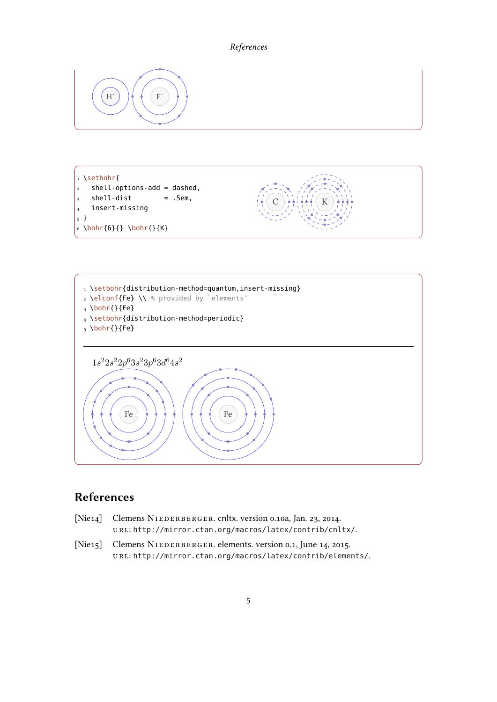#### References

<span id="page-4-1"></span>

1 \setbohr{  $2$  shell-options-add = dashed,  $3$  shell-dist = .5em, 4 insert-missing 5 }  $6 \bb{r}{6}{} \b{both}$ 





# <span id="page-4-0"></span>References

- [Nie14] Clemens NIEDERBERGER. cnltx. version 0.10a, Jan. 23, 2014. url: <http://mirror.ctan.org/macros/latex/contrib/cnltx/>.
- [Nie15] Clemens NIEDERBERGER. elements. version 0.1, June 14, 2015. url: <http://mirror.ctan.org/macros/latex/contrib/elements/>.